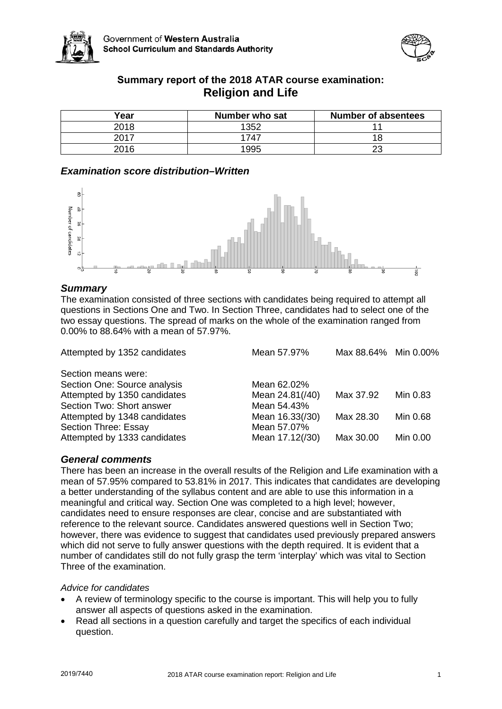



# **Summary report of the 2018 ATAR course examination: Religion and Life**

| Year | Number who sat | <b>Number of absentees</b> |
|------|----------------|----------------------------|
| 2018 | 1352           |                            |
| 2017 | 1747           |                            |
| 2016 | 1995           | າາ                         |

## *Examination score distribution–Written*



## *Summary*

The examination consisted of three sections with candidates being required to attempt all questions in Sections One and Two. In Section Three, candidates had to select one of the two essay questions. The spread of marks on the whole of the examination ranged from 0.00% to 88.64% with a mean of 57.97%.

| Attempted by 1352 candidates | Mean 57.97%     | Max 88.64% Min 0.00% |          |
|------------------------------|-----------------|----------------------|----------|
| Section means were:          |                 |                      |          |
| Section One: Source analysis | Mean 62.02%     |                      |          |
| Attempted by 1350 candidates | Mean 24.81(/40) | Max 37.92            | Min 0.83 |
| Section Two: Short answer    | Mean 54.43%     |                      |          |
| Attempted by 1348 candidates | Mean 16.33(/30) | Max 28.30            | Min 0.68 |
| Section Three: Essay         | Mean 57.07%     |                      |          |
| Attempted by 1333 candidates | Mean 17.12(/30) | Max 30.00            | Min 0.00 |

## *General comments*

There has been an increase in the overall results of the Religion and Life examination with a mean of 57.95% compared to 53.81% in 2017. This indicates that candidates are developing a better understanding of the syllabus content and are able to use this information in a meaningful and critical way. Section One was completed to a high level; however, candidates need to ensure responses are clear, concise and are substantiated with reference to the relevant source. Candidates answered questions well in Section Two; however, there was evidence to suggest that candidates used previously prepared answers which did not serve to fully answer questions with the depth required. It is evident that a number of candidates still do not fully grasp the term 'interplay' which was vital to Section Three of the examination.

#### *Advice for candidates*

- A review of terminology specific to the course is important. This will help you to fully answer all aspects of questions asked in the examination.
- Read all sections in a question carefully and target the specifics of each individual question.